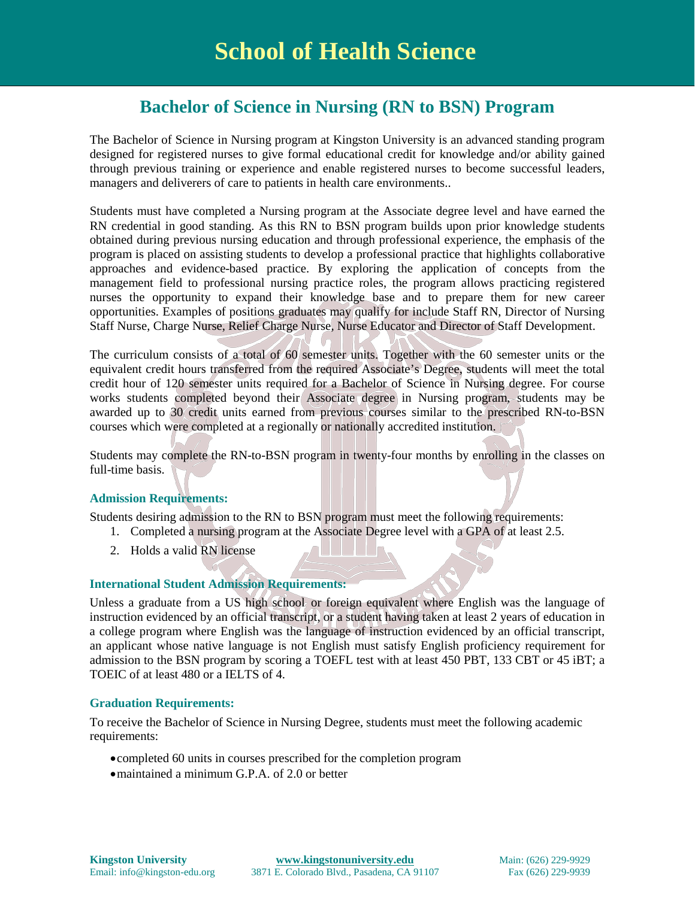# **Bachelor of Science in Nursing (RN to BSN) Program**

The Bachelor of Science in Nursing program at Kingston University is an advanced standing program designed for registered nurses to give formal educational credit for knowledge and/or ability gained through previous training or experience and enable registered nurses to become successful leaders, managers and deliverers of care to patients in health care environments..

Students must have completed a Nursing program at the Associate degree level and have earned the RN credential in good standing. As this RN to BSN program builds upon prior knowledge students obtained during previous nursing education and through professional experience, the emphasis of the program is placed on assisting students to develop a professional practice that highlights collaborative approaches and evidence-based practice. By exploring the application of concepts from the management field to professional nursing practice roles, the program allows practicing registered nurses the opportunity to expand their knowledge base and to prepare them for new career opportunities. Examples of positions graduates may qualify for include Staff RN, Director of Nursing Staff Nurse, Charge Nurse, Relief Charge Nurse, Nurse Educator and Director of Staff Development.

The curriculum consists of a total of 60 semester units. Together with the 60 semester units or the equivalent credit hours transferred from the required Associate's Degree, students will meet the total credit hour of 120 semester units required for a Bachelor of Science in Nursing degree. For course works students completed beyond their Associate degree in Nursing program, students may be awarded up to 30 credit units earned from previous courses similar to the prescribed RN-to-BSN courses which were completed at a regionally or nationally accredited institution.

Students may complete the RN-to-BSN program in twenty-four months by enrolling in the classes on full-time basis.

# **Admission Requirements:**

Students desiring admission to the RN to BSN program must meet the following requirements:

- 1. Completed a nursing program at the Associate Degree level with a GPA of at least 2.5.
- 2. Holds a valid RN license

#### **International Student Admission Requirements:**

Unless a graduate from a US high school or foreign equivalent where English was the language of instruction evidenced by an official transcript, or a student having taken at least 2 years of education in a college program where English was the language of instruction evidenced by an official transcript, an applicant whose native language is not English must satisfy English proficiency requirement for admission to the BSN program by scoring a TOEFL test with at least 450 PBT, 133 CBT or 45 iBT; a TOEIC of at least 480 or a IELTS of 4.

#### **Graduation Requirements:**

To receive the Bachelor of Science in Nursing Degree, students must meet the following academic requirements:

- •completed 60 units in courses prescribed for the completion program
- •maintained a minimum G.P.A. of 2.0 or better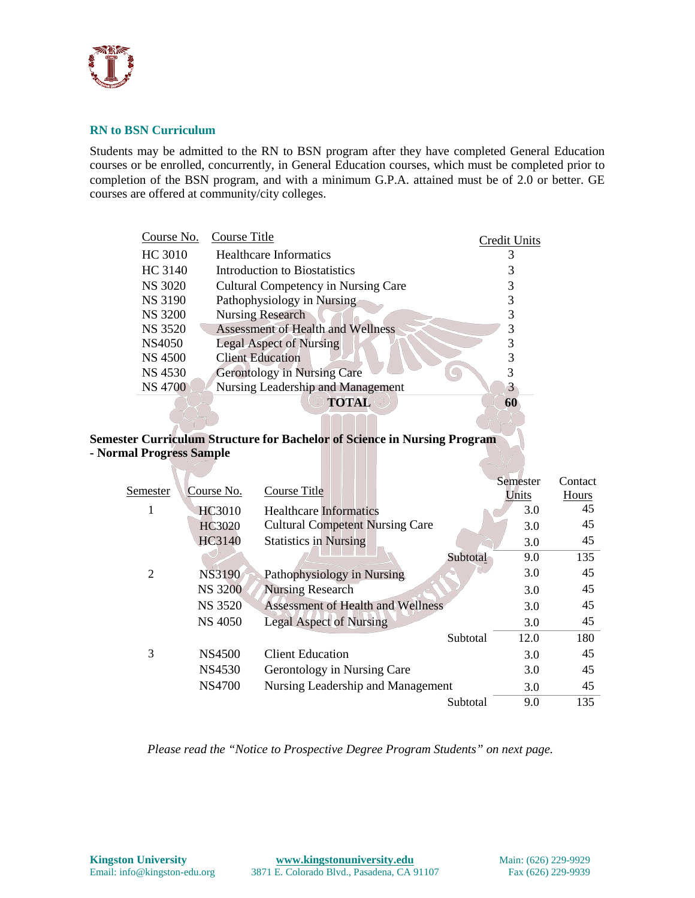

# **RN to BSN Curriculum**

Students may be admitted to the RN to BSN program after they have completed General Education courses or be enrolled, concurrently, in General Education courses, which must be completed prior to completion of the BSN program, and with a minimum G.P.A. attained must be of 2.0 or better. GE courses are offered at community/city colleges.

| Course No.     | Course Title                               | Credit Units |
|----------------|--------------------------------------------|--------------|
| HC 3010        | <b>Healthcare Informatics</b>              |              |
| HC 3140        | Introduction to Biostatistics              |              |
| <b>NS 3020</b> | <b>Cultural Competency in Nursing Care</b> |              |
| NS 3190        | Pathophysiology in Nursing                 |              |
| <b>NS 3200</b> | <b>Nursing Research</b>                    |              |
| <b>NS 3520</b> | <b>Assessment of Health and Wellness</b>   | 3            |
| NS4050         | <b>Legal Aspect of Nursing</b>             |              |
| NS 4500        | <b>Client Education</b>                    |              |
| NS 4530        | <b>Gerontology in Nursing Care</b>         |              |
| <b>NS 4700</b> | Nursing Leadership and Management          | 3            |
|                | <b>TOTAL</b>                               | 60           |

# **Semester Curriculum Structure for Bachelor of Science in Nursing Program - Normal Progress Sample**

|          |                |                                          |                 | Semester | Contact |
|----------|----------------|------------------------------------------|-----------------|----------|---------|
| Semester | Course No.     | Course Title                             |                 | Units    | Hours   |
| 1        | <b>HC3010</b>  | <b>Healthcare Informatics</b>            |                 | 3.0      | 45      |
|          | HC3020         | <b>Cultural Competent Nursing Care</b>   |                 | 3.0      | 45      |
|          | HC3140         | <b>Statistics in Nursing</b>             |                 | 3.0      | 45      |
|          |                |                                          | Subtotal        | 9.0      | 135     |
| 2        | NS3190         | Pathophysiology in Nursing               |                 | 3.0      | 45      |
|          | <b>NS 3200</b> | <b>Nursing Research</b>                  |                 | 3.0      | 45      |
|          | <b>NS 3520</b> | <b>Assessment of Health and Wellness</b> |                 | 3.0      | 45      |
|          | <b>NS 4050</b> | <b>Legal Aspect of Nursing</b>           |                 | 3.0      | 45      |
|          |                |                                          | <b>Subtotal</b> | 12.0     | 180     |
| 3        | NS4500         | <b>Client Education</b>                  |                 | 3.0      | 45      |
|          | <b>NS4530</b>  | Gerontology in Nursing Care              |                 | 3.0      | 45      |
|          | <b>NS4700</b>  | Nursing Leadership and Management        |                 | 3.0      | 45      |
|          |                |                                          | Subtotal        | 9.0      | 135     |

*Please read the "Notice to Prospective Degree Program Students" on next page.*